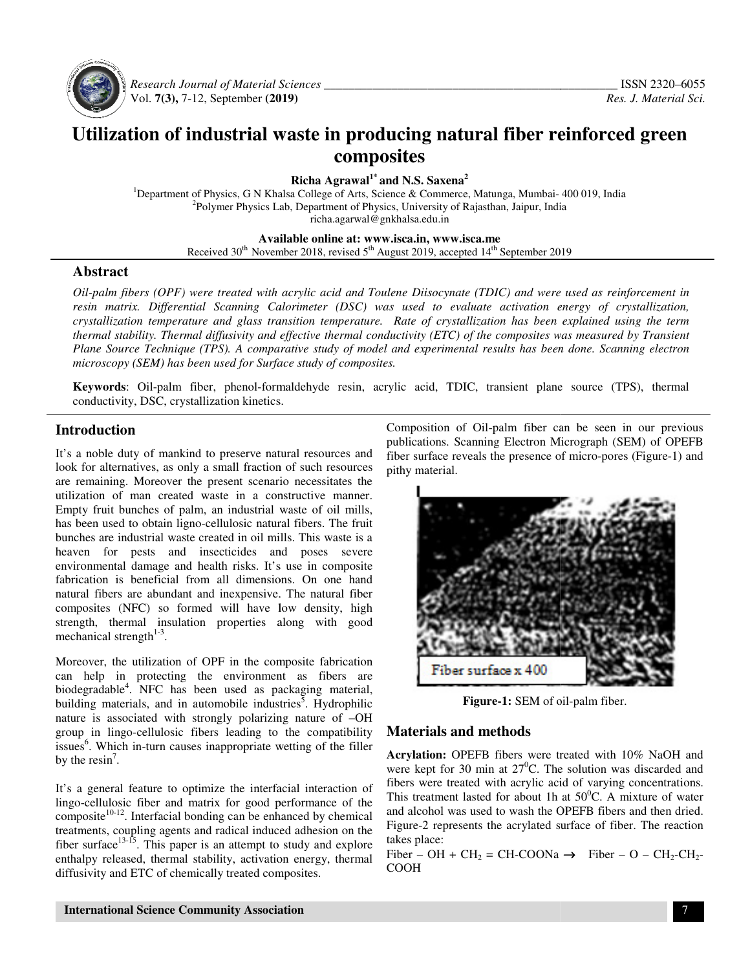

 *Research Journal of Material Sciences Sciences \_\_\_\_\_\_\_\_\_\_\_\_\_\_\_\_\_\_\_\_\_\_\_\_\_\_\_\_\_\_\_\_\_\_\_\_\_\_\_\_\_* Vol. **7(3),** 7-12, September **(201 (2019)**

# Utilization of industrial waste in producing natural fiber reinforced green<br>composites

**Richa Agrawal1\* and N.S. Saxena<sup>2</sup>**

<sup>1</sup>Department of Physics, G N Khalsa College of Arts, Science & Commerce, Matunga, Mumbai- 400 019, India <sup>2</sup>Polymer Physics Lab, Department of Physics, University of Rajasthan, Jaipur, India richa.agarwal@gnkhalsa.edu.in

#### **Available online at: www.isca.in, www.isca.me**

Received 30<sup>th</sup> November 2018, revised 5<sup>th</sup> August 2019, accepted 14<sup>th</sup> September 2019

#### **Abstract**

*Oil-palm fibers (OPF) were treated with acrylic acid and Toulene Diisocynate (TDIC) and were used as reinforcement in* resin matrix. Differential Scanning Calorimeter (DSC) was used to evaluate activation energy of crystallization, crystallization temperature and glass transition temperature. Rate of crystallization has been explained using the term *thermal stability. Thermal diffusivity and effective thermal conductivity (ETC) of the composites was measured by Transient Plane Source Technique (TPS). A comparative study of model and experimental results has been done. Scanning electron* microscopy (SEM) has been used for Surface study of composites.

Keywords: Oil-palm fiber, phenol-formaldehyde resin, acrylic acid, TDIC, transient plane source (TPS), thermal conductivity, DSC, crystallization kinetics.

## **Introduction**

It's a noble duty of mankind to preserve natural resources and look for alternatives, as only a small fraction of such resources are remaining. Moreover the present scenario necessitates the utilization of man created waste in a constructive manner. Empty fruit bunches of palm, an industrial waste of oil mills, has been used to obtain ligno-cellulosic natural fibers. The fruit bunches are industrial waste created in oil mills. This waste is a heaven for pests and insecticides and poses severe environmental damage and health risks. It's use in composite fabrication is beneficial from all dimensions. On one hand natural fibers are abundant and inexpensive. The natural fiber composites (NFC) so formed will have low density, high strength, thermal insulation properties along with good mechanical strength $1-3$ . It's a noble duty of mankind to preserve natural resources and<br>look for alternatives, as only a small fraction of such resources<br>are remaining. Moreover the present scenario necessitates the<br>utilization of man created wast

Moreover, the utilization of OPF in the composite fabrication can help in protecting the environment as fibers are biodegradable<sup>4</sup>. NFC has been used as packaging material, building materials, and in automobile industries . Hydrophilic nature is associated with strongly polarizing nature of  $-OH$ group in lingo-cellulosic fibers leading to the compatibility issues<sup>6</sup>. Which in-turn causes inappropriate wetting of the filler by the resin<sup>7</sup>.

It's a general feature to optimize the interfacial interaction of lingo-cellulosic fiber and matrix for good performance of the composite $10-12$ . Interfacial bonding can be enhanced by chemical treatments, coupling agents and radical induced adhesion on the fiber surface $13 - 15$ . This paper is an attempt to study and explore enthalpy released, thermal stability, activation energy, thermal diffusivity and ETC of chemically treated composites.

Composition of Oil-palm fiber can be seen in our previous<br>publications. Scanning Electron Micrograph (SEM) of OPEFB fiber surface reveals the presence of micro-pores (Figure-1) and pithy material.



Figure-1: SEM of oil-palm fiber.

### **Materials and methods**

**Acrylation:** OPEFB fibers were treated with 10% NaOH and were kept for 30 min at  $27^{\circ}$ C. The solution was discarded and fibers were treated with acrylic acid of varying concentrations. This treatment lasted for about 1h at  $50^{\circ}$ C. A mixture of water and alcohol was used to wash the OPEFB fibers and then dried. and alcohol was used to wash the OPEFB fibers and then dried.<br>Figure-2 represents the acrylated surface of fiber. The reaction takes place:

Fiber – OH + CH<sub>2</sub> = CH-COONa  $\rightarrow$  Fiber – O – CH<sub>2</sub>-CH<sub>2</sub>-COOH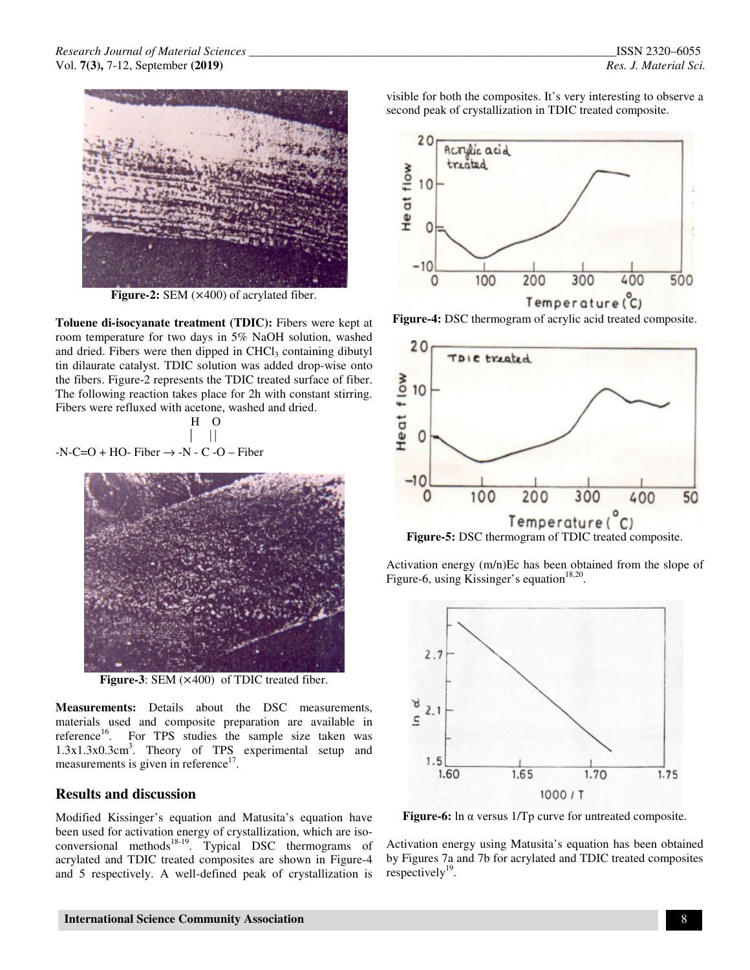

**Figure-2:** SEM (×400) of acrylated fiber.

**Toluene di-isocyanate treatment (TDIC):** Fibers were kept at room temperature for two days in 5% NaOH solution, washed and dried. Fibers were then dipped in  $CHCl<sub>3</sub>$  containing dibutyl tin dilaurate catalyst. TDIC solution was added drop-wise onto the fibers. Figure-2 represents the TDIC treated surface of fiber. The following reaction takes place for 2h with constant stirring. Fibers were refluxed with acetone, washed and dried.

$$
\begin{array}{c|c}\n\text{H} & \text{O} \\
\parallel & \parallel \\
\hline\n\end{array}
$$

-N-C=O + HO- Fiber 
$$
\rightarrow
$$
 -N - C -O – Fiber



**Figure-3**: SEM (×400) of TDIC treated fiber.

**Measurements:** Details about the DSC measurements, materials used and composite preparation are available in reference<sup>16</sup>. For TPS studies the sample size taken was 1.3x1.3x0.3cm<sup>3</sup> . Theory of TPS experimental setup and measurements is given in reference<sup>17</sup>.

### **Results and discussion**

Modified Kissinger's equation and Matusita's equation have been used for activation energy of crystallization, which are isoconversional methods<sup>18-19</sup>. Typical DSC thermograms of acrylated and TDIC treated composites are shown in Figure-4 and 5 respectively. A well-defined peak of crystallization is visible for both the composites. It's very interesting to observe a second peak of crystallization in TDIC treated composite.



**Figure-4:** DSC thermogram of acrylic acid treated composite.



**Figure-5:** DSC thermogram of TDIC treated composite.

Activation energy (m/n)Ec has been obtained from the slope of Figure-6, using Kissinger's equation<sup>18,20</sup>.



**Figure-6:** ln α versus 1/Tp curve for untreated composite.

Activation energy using Matusita's equation has been obtained by Figures 7a and 7b for acrylated and TDIC treated composites respectively $^{19}$ .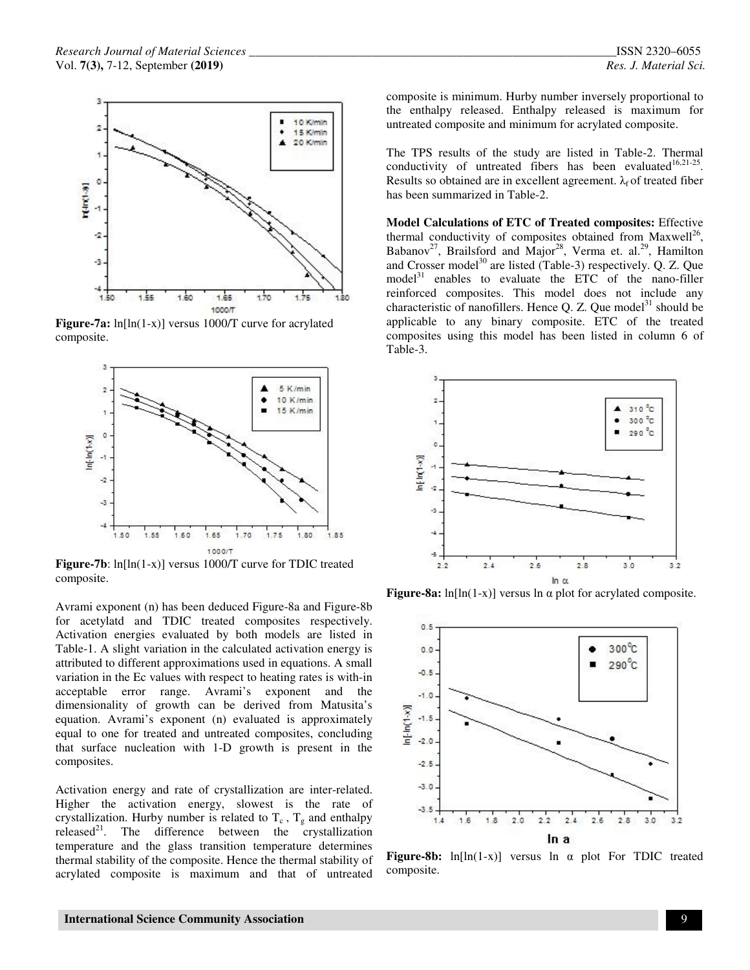

**Figure-7a:** ln[ln(1-x)] versus 1000/T curve for acrylated composite.



**Figure-7b**: ln[ln(1-x)] versus 1000/T curve for TDIC treated composite.

Avrami exponent (n) has been deduced Figure-8a and Figure-8b for acetylatd and TDIC treated composites respectively. Activation energies evaluated by both models are listed in Table-1. A slight variation in the calculated activation energy is attributed to different approximations used in equations. A small variation in the Ec values with respect to heating rates is with-in acceptable error range. Avrami's exponent and the dimensionality of growth can be derived from Matusita's equation. Avrami's exponent (n) evaluated is approximately equal to one for treated and untreated composites, concluding that surface nucleation with 1-D growth is present in the composites.

Activation energy and rate of crystallization are inter-related. Higher the activation energy, slowest is the rate of crystallization. Hurby number is related to  $T_c$ ,  $T_g$  and enthalpy released $2^1$ . The difference between the crystallization temperature and the glass transition temperature determines thermal stability of the composite. Hence the thermal stability of acrylated composite is maximum and that of untreated composite is minimum. Hurby number inversely proportional to the enthalpy released. Enthalpy released is maximum for untreated composite and minimum for acrylated composite.

The TPS results of the study are listed in Table-2. Thermal conductivity of untreated fibers has been evaluated  $16,21-25$ . Results so obtained are in excellent agreement.  $\lambda_f$  of treated fiber has been summarized in Table-2.

**Model Calculations of ETC of Treated composites:** Effective thermal conductivity of composites obtained from Maxwell<sup>26</sup>, Babanov<sup>27</sup>, Brailsford and Major<sup>28</sup>, Verma et. al.<sup>29</sup>, Hamilton and Crosser model<sup>30</sup> are listed (Table-3) respectively. Q. Z. Que  $model<sup>31</sup>$  enables to evaluate the ETC of the nano-filler reinforced composites. This model does not include any characteristic of nanofillers. Hence Q. Z. Que model<sup>31</sup> should be applicable to any binary composite. ETC of the treated composites using this model has been listed in column 6 of Table-3.



**Figure-8a:** ln[ln(1-x)] versus ln α plot for acrylated composite.



**Figure-8b:** ln[ln(1-x)] versus ln α plot For TDIC treated composite.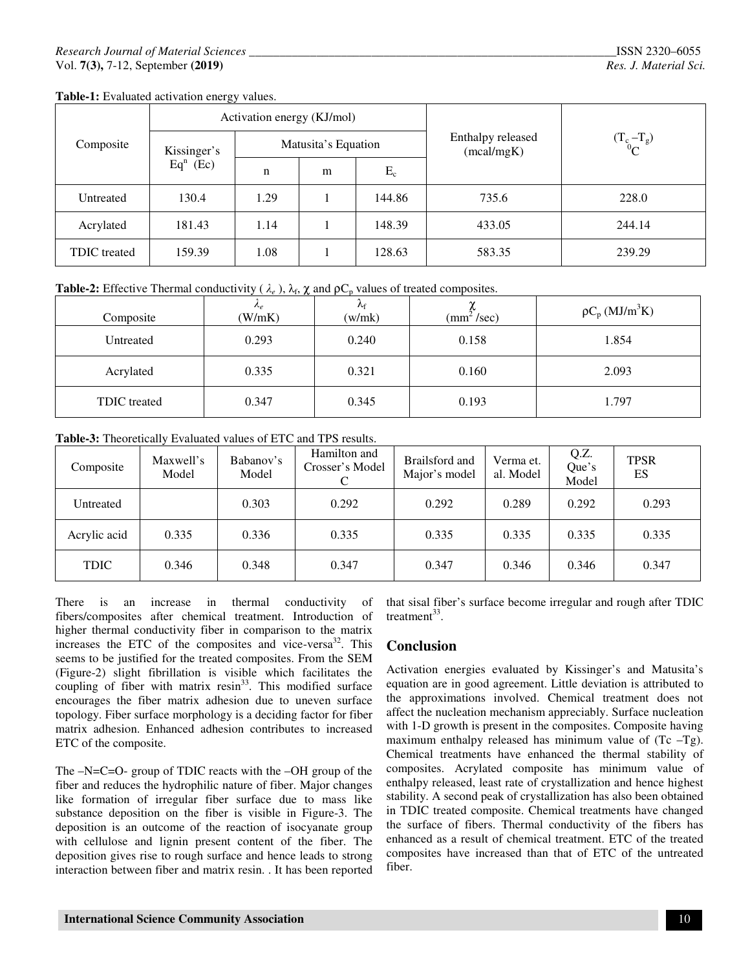| Composite    | Activation energy (KJ/mol) |                     |   |        |                                 |               |  |
|--------------|----------------------------|---------------------|---|--------|---------------------------------|---------------|--|
|              | Kissinger's<br>$Eqn$ (Ec)  | Matusita's Equation |   |        | Enthalpy released<br>(mcal/mgK) | $(T_c - T_g)$ |  |
|              |                            | n                   | m | $E_c$  |                                 |               |  |
| Untreated    | 130.4                      | 1.29                |   | 144.86 | 735.6                           | 228.0         |  |
| Acrylated    | 181.43                     | 1.14                |   | 148.39 | 433.05                          | 244.14        |  |
| TDIC treated | 159.39                     | 1.08                |   | 128.63 | 583.35                          | 239.29        |  |

**Table-1:** Evaluated activation energy values.

**Table-2:** Effective Thermal conductivity ( $\lambda_e$ ),  $\lambda_f$ ,  $\chi$  and  $\rho C_p$  values of treated composites.

| Composite           | $n_e$<br>(W/mK) | $\Lambda_{\rm f}$<br>(w/mk) | $\rm (mm^2/sec)$ | $\rho C_p$ (MJ/m <sup>3</sup> K) |  |
|---------------------|-----------------|-----------------------------|------------------|----------------------------------|--|
| Untreated           | 0.293           | 0.240                       | 0.158            | 1.854                            |  |
| Acrylated           | 0.335           | 0.321                       | 0.160            | 2.093                            |  |
| <b>TDIC</b> treated | 0.347           | 0.345                       | 0.193            | 1.797                            |  |

**Table-3:** Theoretically Evaluated values of ETC and TPS results.

| Composite    | Maxwell's<br>Model | Babanov's<br>Model | Hamilton and<br>Crosser's Model | Brailsford and<br>Major's model | Verma et.<br>al. Model | Q.Z.<br>Que's<br>Model | <b>TPSR</b><br>ES |
|--------------|--------------------|--------------------|---------------------------------|---------------------------------|------------------------|------------------------|-------------------|
| Untreated    |                    | 0.303              | 0.292                           | 0.292                           | 0.289                  | 0.292                  | 0.293             |
| Acrylic acid | 0.335              | 0.336              | 0.335                           | 0.335                           | 0.335                  | 0.335                  | 0.335             |
| <b>TDIC</b>  | 0.346              | 0.348              | 0.347                           | 0.347                           | 0.346                  | 0.346                  | 0.347             |

There is an increase in thermal conductivity of fibers/composites after chemical treatment. Introduction of higher thermal conductivity fiber in comparison to the matrix increases the ETC of the composites and vice-versa<sup>32</sup>. This seems to be justified for the treated composites. From the SEM (Figure-2) slight fibrillation is visible which facilitates the coupling of fiber with matrix  $resin<sup>33</sup>$ . This modified surface encourages the fiber matrix adhesion due to uneven surface topology. Fiber surface morphology is a deciding factor for fiber matrix adhesion. Enhanced adhesion contributes to increased ETC of the composite.

The –N=C=O- group of TDIC reacts with the –OH group of the fiber and reduces the hydrophilic nature of fiber. Major changes like formation of irregular fiber surface due to mass like substance deposition on the fiber is visible in Figure-3. The deposition is an outcome of the reaction of isocyanate group with cellulose and lignin present content of the fiber. The deposition gives rise to rough surface and hence leads to strong interaction between fiber and matrix resin. . It has been reported

that sisal fiber's surface become irregular and rough after TDIC treatment $33$ .

### **Conclusion**

Activation energies evaluated by Kissinger's and Matusita's equation are in good agreement. Little deviation is attributed to the approximations involved. Chemical treatment does not affect the nucleation mechanism appreciably. Surface nucleation with 1-D growth is present in the composites. Composite having maximum enthalpy released has minimum value of  $(Tc - Tg)$ . Chemical treatments have enhanced the thermal stability of composites. Acrylated composite has minimum value of enthalpy released, least rate of crystallization and hence highest stability. A second peak of crystallization has also been obtained in TDIC treated composite. Chemical treatments have changed the surface of fibers. Thermal conductivity of the fibers has enhanced as a result of chemical treatment. ETC of the treated composites have increased than that of ETC of the untreated fiber.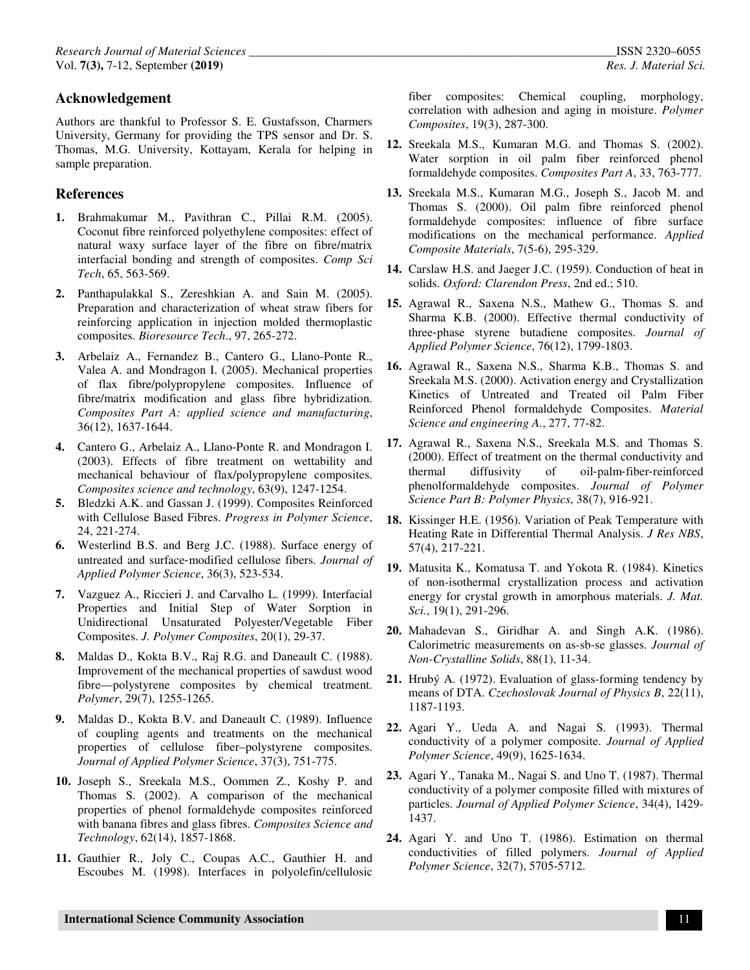### **Acknowledgement**

Authors are thankful to Professor S. E. Gustafsson, Charmers University, Germany for providing the TPS sensor and Dr. S. Thomas, M.G. University, Kottayam, Kerala for helping in sample preparation.

### **References**

- **1.** Brahmakumar M., Pavithran C., Pillai R.M. (2005). Coconut fibre reinforced polyethylene composites: effect of natural waxy surface layer of the fibre on fibre/matrix interfacial bonding and strength of composites. *Comp Sci Tech*, 65, 563-569.
- **2.** Panthapulakkal S., Zereshkian A. and Sain M. (2005). Preparation and characterization of wheat straw fibers for reinforcing application in injection molded thermoplastic composites. *Bioresource Tech*., 97, 265-272.
- **3.** Arbelaiz A., Fernandez B., Cantero G., Llano-Ponte R., Valea A. and Mondragon I. (2005). Mechanical properties of flax fibre/polypropylene composites. Influence of fibre/matrix modification and glass fibre hybridization. *Composites Part A: applied science and manufacturing*, 36(12), 1637-1644.
- **4.** Cantero G., Arbelaiz A., Llano-Ponte R. and Mondragon I. (2003). Effects of fibre treatment on wettability and mechanical behaviour of flax/polypropylene composites. *Composites science and technology*, 63(9), 1247-1254.
- **5.** Bledzki A.K. and Gassan J. (1999). Composites Reinforced with Cellulose Based Fibres. *Progress in Polymer Science*, 24, 221-274.
- **6.** Westerlind B.S. and Berg J.C. (1988). Surface energy of untreated and surface‐modified cellulose fibers. *Journal of Applied Polymer Science*, 36(3), 523-534.
- **7.** Vazguez A., Riccieri J. and Carvalho L. (1999). Interfacial Properties and Initial Step of Water Sorption in Unidirectional Unsaturated Polyester/Vegetable Fiber Composites. *J. Polymer Composites*, 20(1), 29-37.
- **8.** Maldas D., Kokta B.V., Raj R.G. and Daneault C. (1988). Improvement of the mechanical properties of sawdust wood fibre—polystyrene composites by chemical treatment. *Polymer*, 29(7), 1255-1265.
- **9.** Maldas D., Kokta B.V. and Daneault C. (1989). Influence of coupling agents and treatments on the mechanical properties of cellulose fiber–polystyrene composites. *Journal of Applied Polymer Science*, 37(3), 751-775.
- **10.** Joseph S., Sreekala M.S., Oommen Z., Koshy P. and Thomas S. (2002). A comparison of the mechanical properties of phenol formaldehyde composites reinforced with banana fibres and glass fibres. *Composites Science and Technology*, 62(14), 1857-1868.
- **11.** Gauthier R., Joly C., Coupas A.C., Gauthier H. and Escoubes M. (1998). Interfaces in polyolefin/cellulosic

fiber composites: Chemical coupling, morphology, correlation with adhesion and aging in moisture. *Polymer Composites*, 19(3), 287-300.

- **12.** Sreekala M.S., Kumaran M.G. and Thomas S. (2002). Water sorption in oil palm fiber reinforced phenol formaldehyde composites. *Composites Part A*, 33, 763-777.
- **13.** Sreekala M.S., Kumaran M.G., Joseph S., Jacob M. and Thomas S. (2000). Oil palm fibre reinforced phenol formaldehyde composites: influence of fibre surface modifications on the mechanical performance. *Applied Composite Materials*, 7(5-6), 295-329.
- **14.** Carslaw H.S. and Jaeger J.C. (1959). Conduction of heat in solids. *Oxford: Clarendon Press*, 2nd ed.; 510.
- **15.** Agrawal R., Saxena N.S., Mathew G., Thomas S. and Sharma K.B. (2000). Effective thermal conductivity of three‐phase styrene butadiene composites. *Journal of Applied Polymer Science*, 76(12), 1799-1803.
- **16.** Agrawal R., Saxena N.S., Sharma K.B., Thomas S. and Sreekala M.S. (2000). Activation energy and Crystallization Kinetics of Untreated and Treated oil Palm Fiber Reinforced Phenol formaldehyde Composites. *Material Science and engineering A.*, 277, 77-82.
- **17.** Agrawal R., Saxena N.S., Sreekala M.S. and Thomas S. (2000). Effect of treatment on the thermal conductivity and thermal diffusivity of oil‐palm‐fiber‐reinforced phenolformaldehyde composites. *Journal of Polymer Science Part B: Polymer Physics*, 38(7), 916-921.
- **18.** Kissinger H.E. (1956). Variation of Peak Temperature with Heating Rate in Differential Thermal Analysis. *J Res NBS*, 57(4), 217-221.
- **19.** Matusita K., Komatusa T. and Yokota R. (1984). Kinetics of non-isothermal crystallization process and activation energy for crystal growth in amorphous materials. *J. Mat. Sci.*, 19(1), 291-296.
- **20.** Mahadevan S., Giridhar A. and Singh A.K. (1986). Calorimetric measurements on as-sb-se glasses. *Journal of Non-Crystalline Solids*, 88(1), 11-34.
- **21.** Hrubý A. (1972). Evaluation of glass-forming tendency by means of DTA. *Czechoslovak Journal of Physics B*, 22(11), 1187-1193.
- **22.** Agari Y., Ueda A. and Nagai S. (1993). Thermal conductivity of a polymer composite. *Journal of Applied Polymer Science*, 49(9), 1625-1634.
- **23.** Agari Y., Tanaka M., Nagai S. and Uno T. (1987). Thermal conductivity of a polymer composite filled with mixtures of particles. *Journal of Applied Polymer Science*, 34(4), 1429- 1437.
- **24.** Agari Y. and Uno T. (1986). Estimation on thermal conductivities of filled polymers. *Journal of Applied Polymer Science*, 32(7), 5705-5712.